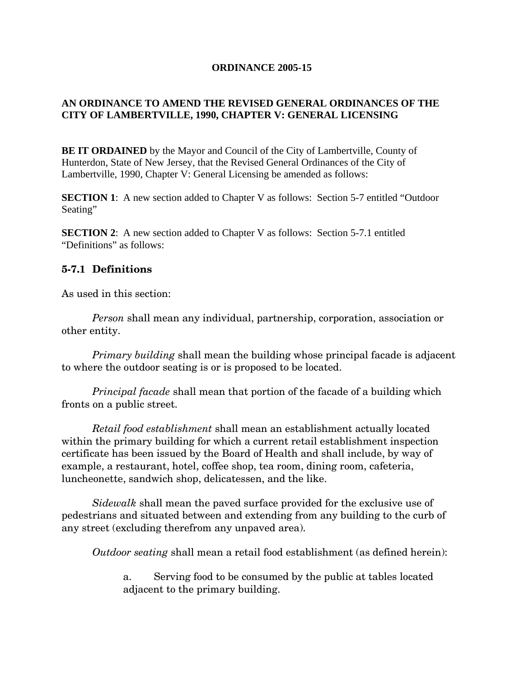#### **ORDINANCE 2005-15**

## **AN ORDINANCE TO AMEND THE REVISED GENERAL ORDINANCES OF THE CITY OF LAMBERTVILLE, 1990, CHAPTER V: GENERAL LICENSING**

**BE IT ORDAINED** by the Mayor and Council of the City of Lambertville, County of Hunterdon, State of New Jersey, that the Revised General Ordinances of the City of Lambertville, 1990, Chapter V: General Licensing be amended as follows:

**SECTION 1**: A new section added to Chapter V as follows: Section 5-7 entitled "Outdoor" Seating"

**SECTION 2:** A new section added to Chapter V as follows: Section 5-7.1 entitled "Definitions" as follows:

## **5-7.1 Definitions**

As used in this section:

 *Person* shall mean any individual, partnership, corporation, association or other entity.

 *Primary building* shall mean the building whose principal facade is adjacent to where the outdoor seating is or is proposed to be located.

 *Principal facade* shall mean that portion of the facade of a building which fronts on a public street.

 *Retail food establishment* shall mean an establishment actually located within the primary building for which a current retail establishment inspection certificate has been issued by the Board of Health and shall include, by way of example, a restaurant, hotel, coffee shop, tea room, dining room, cafeteria, luncheonette, sandwich shop, delicatessen, and the like.

 *Sidewalk* shall mean the paved surface provided for the exclusive use of pedestrians and situated between and extending from any building to the curb of any street (excluding therefrom any unpaved area).

 *Outdoor seating* shall mean a retail food establishment (as defined herein):

a. Serving food to be consumed by the public at tables located adjacent to the primary building.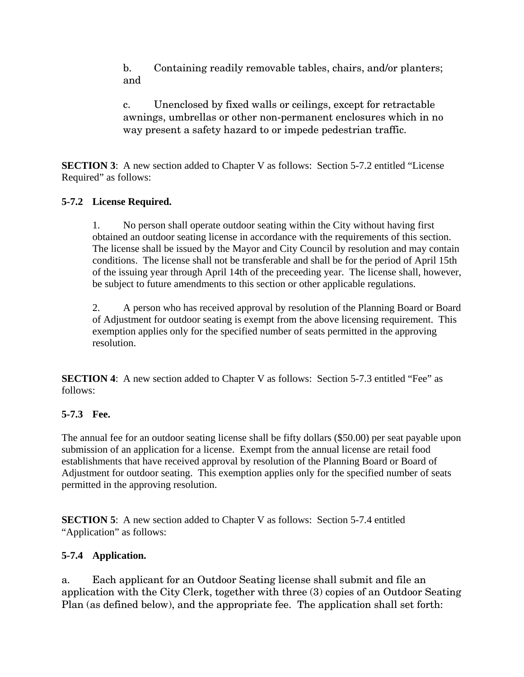b. Containing readily removable tables, chairs, and/or planters; and

c. Unenclosed by fixed walls or ceilings, except for retractable awnings, umbrellas or other non-permanent enclosures which in no way present a safety hazard to or impede pedestrian traffic.

**SECTION 3**: A new section added to Chapter V as follows: Section 5-7.2 entitled "License" Required" as follows:

# **5-7.2 License Required.**

1. No person shall operate outdoor seating within the City without having first obtained an outdoor seating license in accordance with the requirements of this section. The license shall be issued by the Mayor and City Council by resolution and may contain conditions. The license shall not be transferable and shall be for the period of April 15th of the issuing year through April 14th of the preceeding year. The license shall, however, be subject to future amendments to this section or other applicable regulations.

2. A person who has received approval by resolution of the Planning Board or Board of Adjustment for outdoor seating is exempt from the above licensing requirement. This exemption applies only for the specified number of seats permitted in the approving resolution.

**SECTION 4**: A new section added to Chapter V as follows: Section 5-7.3 entitled "Fee" as follows:

# **5-7.3 Fee.**

The annual fee for an outdoor seating license shall be fifty dollars (\$50.00) per seat payable upon submission of an application for a license. Exempt from the annual license are retail food establishments that have received approval by resolution of the Planning Board or Board of Adjustment for outdoor seating. This exemption applies only for the specified number of seats permitted in the approving resolution.

**SECTION 5:** A new section added to Chapter V as follows: Section 5-7.4 entitled "Application" as follows:

# **5-7.4 Application.**

a. Each applicant for an Outdoor Seating license shall submit and file an application with the City Clerk, together with three (3) copies of an Outdoor Seating Plan (as defined below), and the appropriate fee. The application shall set forth: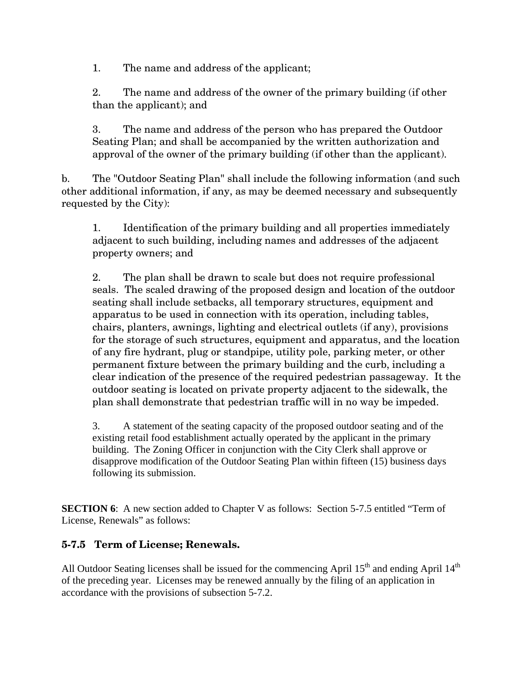1. The name and address of the applicant;

2. The name and address of the owner of the primary building (if other than the applicant); and

3. The name and address of the person who has prepared the Outdoor Seating Plan; and shall be accompanied by the written authorization and approval of the owner of the primary building (if other than the applicant).

b. The "Outdoor Seating Plan" shall include the following information (and such other additional information, if any, as may be deemed necessary and subsequently requested by the City):

1. Identification of the primary building and all properties immediately adjacent to such building, including names and addresses of the adjacent property owners; and

2. The plan shall be drawn to scale but does not require professional seals. The scaled drawing of the proposed design and location of the outdoor seating shall include setbacks, all temporary structures, equipment and apparatus to be used in connection with its operation, including tables, chairs, planters, awnings, lighting and electrical outlets (if any), provisions for the storage of such structures, equipment and apparatus, and the location of any fire hydrant, plug or standpipe, utility pole, parking meter, or other permanent fixture between the primary building and the curb, including a clear indication of the presence of the required pedestrian passageway. It the outdoor seating is located on private property adjacent to the sidewalk, the plan shall demonstrate that pedestrian traffic will in no way be impeded.

3. A statement of the seating capacity of the proposed outdoor seating and of the existing retail food establishment actually operated by the applicant in the primary building. The Zoning Officer in conjunction with the City Clerk shall approve or disapprove modification of the Outdoor Seating Plan within fifteen (15) business days following its submission.

**SECTION 6**: A new section added to Chapter V as follows: Section 5-7.5 entitled "Term of License, Renewals" as follows:

# **5-7.5 Term of License; Renewals.**

All Outdoor Seating licenses shall be issued for the commencing April  $15<sup>th</sup>$  and ending April  $14<sup>th</sup>$ of the preceding year. Licenses may be renewed annually by the filing of an application in accordance with the provisions of subsection 5-7.2.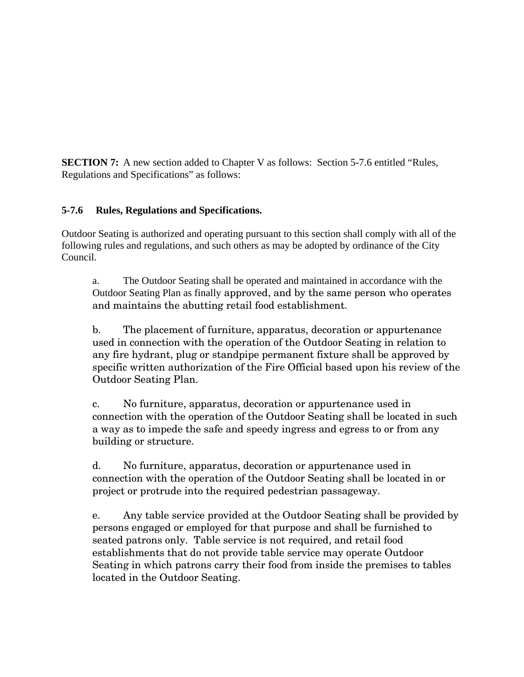**SECTION 7:** A new section added to Chapter V as follows: Section 5-7.6 entitled "Rules, Regulations and Specifications" as follows:

# **5-7.6 Rules, Regulations and Specifications.**

Outdoor Seating is authorized and operating pursuant to this section shall comply with all of the following rules and regulations, and such others as may be adopted by ordinance of the City Council.

a. The Outdoor Seating shall be operated and maintained in accordance with the Outdoor Seating Plan as finally approved, and by the same person who operates and maintains the abutting retail food establishment.

b. The placement of furniture, apparatus, decoration or appurtenance used in connection with the operation of the Outdoor Seating in relation to any fire hydrant, plug or standpipe permanent fixture shall be approved by specific written authorization of the Fire Official based upon his review of the Outdoor Seating Plan.

c. No furniture, apparatus, decoration or appurtenance used in connection with the operation of the Outdoor Seating shall be located in such a way as to impede the safe and speedy ingress and egress to or from any building or structure.

d. No furniture, apparatus, decoration or appurtenance used in connection with the operation of the Outdoor Seating shall be located in or project or protrude into the required pedestrian passageway.

e. Any table service provided at the Outdoor Seating shall be provided by persons engaged or employed for that purpose and shall be furnished to seated patrons only. Table service is not required, and retail food establishments that do not provide table service may operate Outdoor Seating in which patrons carry their food from inside the premises to tables located in the Outdoor Seating.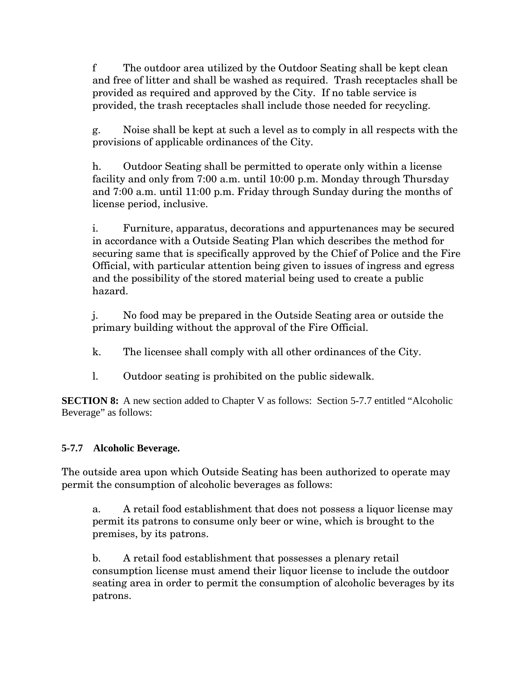f The outdoor area utilized by the Outdoor Seating shall be kept clean and free of litter and shall be washed as required. Trash receptacles shall be provided as required and approved by the City. If no table service is provided, the trash receptacles shall include those needed for recycling.

g. Noise shall be kept at such a level as to comply in all respects with the provisions of applicable ordinances of the City.

h. Outdoor Seating shall be permitted to operate only within a license facility and only from 7:00 a.m. until 10:00 p.m. Monday through Thursday and 7:00 a.m. until 11:00 p.m. Friday through Sunday during the months of license period, inclusive.

i. Furniture, apparatus, decorations and appurtenances may be secured in accordance with a Outside Seating Plan which describes the method for securing same that is specifically approved by the Chief of Police and the Fire Official, with particular attention being given to issues of ingress and egress and the possibility of the stored material being used to create a public hazard.

j. No food may be prepared in the Outside Seating area or outside the primary building without the approval of the Fire Official.

- k. The licensee shall comply with all other ordinances of the City.
- l. Outdoor seating is prohibited on the public sidewalk.

**SECTION 8:** A new section added to Chapter V as follows: Section 5-7.7 entitled "Alcoholic" Beverage" as follows:

# **5-7.7 Alcoholic Beverage.**

The outside area upon which Outside Seating has been authorized to operate may permit the consumption of alcoholic beverages as follows:

a. A retail food establishment that does not possess a liquor license may permit its patrons to consume only beer or wine, which is brought to the premises, by its patrons.

b. A retail food establishment that possesses a plenary retail consumption license must amend their liquor license to include the outdoor seating area in order to permit the consumption of alcoholic beverages by its patrons.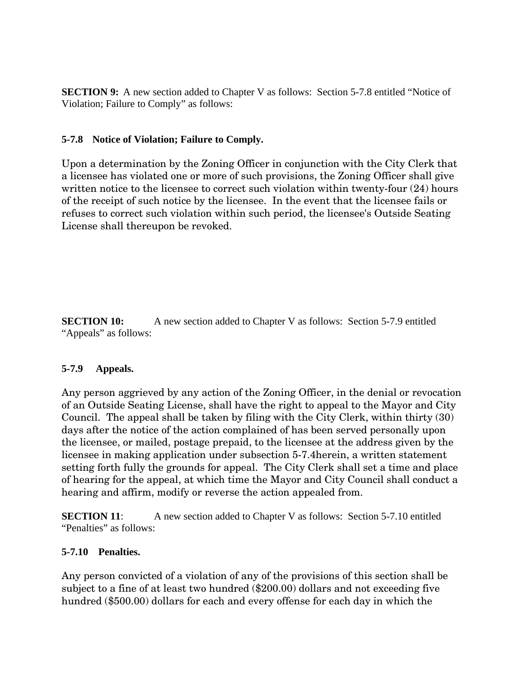**SECTION 9:** A new section added to Chapter V as follows: Section 5-7.8 entitled "Notice of Violation; Failure to Comply" as follows:

#### **5-7.8 Notice of Violation; Failure to Comply.**

Upon a determination by the Zoning Officer in conjunction with the City Clerk that a licensee has violated one or more of such provisions, the Zoning Officer shall give written notice to the licensee to correct such violation within twenty-four  $(24)$  hours of the receipt of such notice by the licensee. In the event that the licensee fails or refuses to correct such violation within such period, the licensee's Outside Seating License shall thereupon be revoked.

**SECTION 10:** A new section added to Chapter V as follows: Section 5-7.9 entitled "Appeals" as follows:

## **5-7.9 Appeals.**

Any person aggrieved by any action of the Zoning Officer, in the denial or revocation of an Outside Seating License, shall have the right to appeal to the Mayor and City Council. The appeal shall be taken by filing with the City Clerk, within thirty (30) days after the notice of the action complained of has been served personally upon the licensee, or mailed, postage prepaid, to the licensee at the address given by the licensee in making application under subsection 5-7.4herein, a written statement setting forth fully the grounds for appeal. The City Clerk shall set a time and place of hearing for the appeal, at which time the Mayor and City Council shall conduct a hearing and affirm, modify or reverse the action appealed from.

**SECTION 11:** A new section added to Chapter V as follows: Section 5-7.10 entitled "Penalties" as follows:

## **5-7.10 Penalties.**

Any person convicted of a violation of any of the provisions of this section shall be subject to a fine of at least two hundred (\$200.00) dollars and not exceeding five hundred (\$500.00) dollars for each and every offense for each day in which the